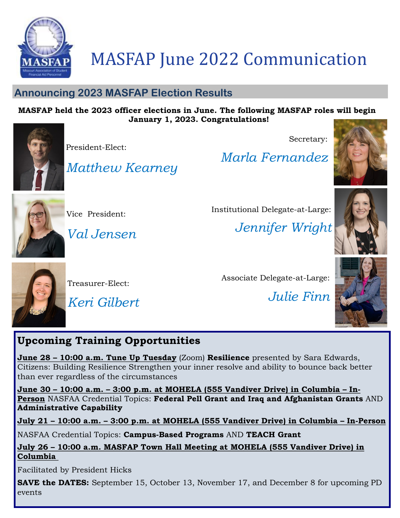

### MASFAP June 2022 Communication

#### **Announcing 2023 MASFAP Election Results**

*Matthew Kearney*

#### **MASFAP held the 2023 officer elections in June. The following MASFAP roles will begin January 1, 2023. Congratulations!**



President-Elect:

Vice President:

*Val Jensen*

Secretary:

*Marla Fernandez*

Institutional Delegate-at-Large:







*Jennifer Wright*



Treasurer-Elect:

*Keri Gilbert*

Associate Delegate-at-Large:

*Julie Finn*



### **Upcoming Training Opportunities**

**June 28 – 10:00 a.m. Tune Up Tuesday** (Zoom) **Resilience** presented by Sara Edwards, Citizens: Building Resilience Strengthen your inner resolve and ability to bounce back better than ever regardless of the circumstances

**June 30 – 10:00 a.m. – 3:00 p.m. at MOHELA (555 Vandiver Drive) in Columbia – In-Person** NASFAA Credential Topics: **Federal Pell Grant and Iraq and Afghanistan Grants** AND **Administrative Capability**

**July 21 – 10:00 a.m. – 3:00 p.m. at MOHELA (555 Vandiver Drive) in Columbia – In-Person**

NASFAA Credential Topics: **Campus-Based Programs** AND **TEACH Grant**

**July 26 – 10:00 a.m. MASFAP Town Hall Meeting at MOHELA (555 Vandiver Drive) in Columbia** 

Facilitated by President Hicks

**SAVE the DATES:** September 15, October 13, November 17, and December 8 for upcoming PD events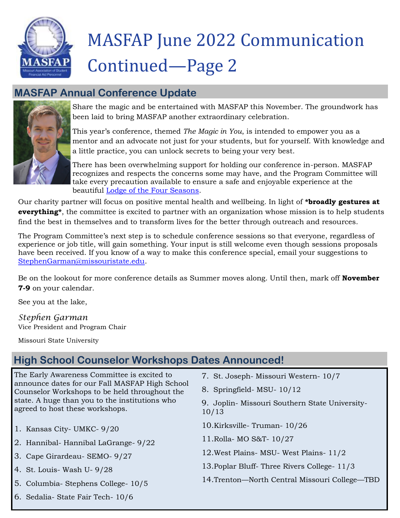

# MASFAP June 2022 Communication Continued—Page 2

#### **MASFAP Annual Conference Update**



Share the magic and be entertained with MASFAP this November. The groundwork has been laid to bring MASFAP another extraordinary celebration.

This year's conference, themed *The Magic in You*, is intended to empower you as a mentor and an advocate not just for your students, but for yourself. With knowledge and a little practice, you can unlock secrets to being your very best.

There has been overwhelming support for holding our conference in-person. MASFAP recognizes and respects the concerns some may have, and the Program Committee will take every precaution available to ensure a safe and enjoyable experience at the beautiful [Lodge of the Four Seasons.](https://4seasonsresort.com/)

Our charity partner will focus on positive mental health and wellbeing. In light of **\*broadly gestures at everything\***, the committee is excited to partner with an organization whose mission is to help students find the best in themselves and to transform lives for the better through outreach and resources.

The Program Committee's next step is to schedule conference sessions so that everyone, regardless of experience or job title, will gain something. Your input is still welcome even though sessions proposals have been received. If you know of a way to make this conference special, email your suggestions to [StephenGarman@missouristate.edu.](mailto:StephenGarman@missouristate.edu)

Be on the lookout for more conference details as Summer moves along. Until then, mark off **November 7-9** on your calendar.

See you at the lake,

*Stephen Garman* Vice President and Program Chair

Missouri State University

### **High School Counselor Workshops Dates Announced!**

The Early Awareness Committee is excited to announce dates for our Fall MASFAP High School Counselor Workshops to be held throughout the state. A huge than you to the institutions who agreed to host these workshops.

- 1. Kansas City- UMKC- 9/20
- 2. Hannibal- Hannibal LaGrange- 9/22
- 3. Cape Girardeau- SEMO- 9/27
- 4. St. Louis- Wash U- 9/28
- 5. Columbia- Stephens College- 10/5
- 7. St. Joseph- Missouri Western- 10/7
- 8. Springfield- MSU- 10/12
- 9. Joplin- Missouri Southern State University-10/13
- 10.Kirksville- Truman- 10/26
- 11.Rolla- MO S&T- 10/27
- 12.West Plains- MSU- West Plains- 11/2
- 13.Poplar Bluff- Three Rivers College- 11/3
- 14.Trenton—North Central Missouri College—TBD

6. Sedalia- State Fair Tech- 10/6